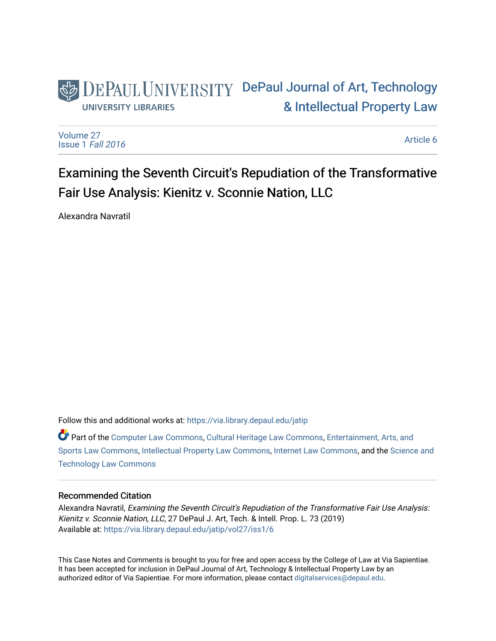# DEPAUL UNIVERSITY DePaul Journal of Art, Technology [& Intellectual Property Law](https://via.library.depaul.edu/jatip)  **UNIVERSITY LIBRARIES**

[Volume 27](https://via.library.depaul.edu/jatip/vol27) [Issue 1](https://via.library.depaul.edu/jatip/vol27/iss1) Fall 2016

[Article 6](https://via.library.depaul.edu/jatip/vol27/iss1/6) 

# Examining the Seventh Circuit's Repudiation of the Transformative Fair Use Analysis: Kienitz v. Sconnie Nation, LLC

Alexandra Navratil

Follow this and additional works at: [https://via.library.depaul.edu/jatip](https://via.library.depaul.edu/jatip?utm_source=via.library.depaul.edu%2Fjatip%2Fvol27%2Fiss1%2F6&utm_medium=PDF&utm_campaign=PDFCoverPages)

Part of the [Computer Law Commons,](http://network.bepress.com/hgg/discipline/837?utm_source=via.library.depaul.edu%2Fjatip%2Fvol27%2Fiss1%2F6&utm_medium=PDF&utm_campaign=PDFCoverPages) [Cultural Heritage Law Commons](http://network.bepress.com/hgg/discipline/1384?utm_source=via.library.depaul.edu%2Fjatip%2Fvol27%2Fiss1%2F6&utm_medium=PDF&utm_campaign=PDFCoverPages), [Entertainment, Arts, and](http://network.bepress.com/hgg/discipline/893?utm_source=via.library.depaul.edu%2Fjatip%2Fvol27%2Fiss1%2F6&utm_medium=PDF&utm_campaign=PDFCoverPages)  [Sports Law Commons,](http://network.bepress.com/hgg/discipline/893?utm_source=via.library.depaul.edu%2Fjatip%2Fvol27%2Fiss1%2F6&utm_medium=PDF&utm_campaign=PDFCoverPages) [Intellectual Property Law Commons,](http://network.bepress.com/hgg/discipline/896?utm_source=via.library.depaul.edu%2Fjatip%2Fvol27%2Fiss1%2F6&utm_medium=PDF&utm_campaign=PDFCoverPages) [Internet Law Commons,](http://network.bepress.com/hgg/discipline/892?utm_source=via.library.depaul.edu%2Fjatip%2Fvol27%2Fiss1%2F6&utm_medium=PDF&utm_campaign=PDFCoverPages) and the [Science and](http://network.bepress.com/hgg/discipline/875?utm_source=via.library.depaul.edu%2Fjatip%2Fvol27%2Fiss1%2F6&utm_medium=PDF&utm_campaign=PDFCoverPages)  [Technology Law Commons](http://network.bepress.com/hgg/discipline/875?utm_source=via.library.depaul.edu%2Fjatip%2Fvol27%2Fiss1%2F6&utm_medium=PDF&utm_campaign=PDFCoverPages) 

# Recommended Citation

Alexandra Navratil, Examining the Seventh Circuit's Repudiation of the Transformative Fair Use Analysis: Kienitz v. Sconnie Nation, LLC, 27 DePaul J. Art, Tech. & Intell. Prop. L. 73 (2019) Available at: [https://via.library.depaul.edu/jatip/vol27/iss1/6](https://via.library.depaul.edu/jatip/vol27/iss1/6?utm_source=via.library.depaul.edu%2Fjatip%2Fvol27%2Fiss1%2F6&utm_medium=PDF&utm_campaign=PDFCoverPages) 

This Case Notes and Comments is brought to you for free and open access by the College of Law at Via Sapientiae. It has been accepted for inclusion in DePaul Journal of Art, Technology & Intellectual Property Law by an authorized editor of Via Sapientiae. For more information, please contact [digitalservices@depaul.edu.](mailto:digitalservices@depaul.edu)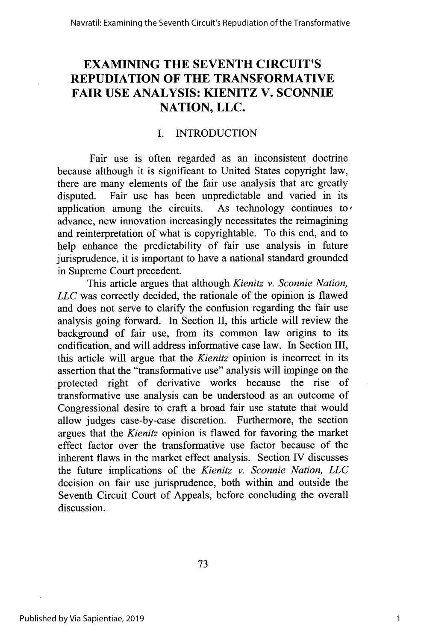# **EXAMINING THE SEVENTH CIRCUIT'S REPUDIATION OF THE TRANSFORMATIVE FAIR USE ANALYSIS: KIENITZ V. SCONNIE NATION, LLC.**

# **I. INTRODUCTION**

Fair use is often regarded as an inconsistent doctrine because although it is significant to United States copyright law, there are many elements of the fair use analysis that are greatly disputed. Fair use has been unpredictable and varied in its application among the circuits. As technology continues to application among the circuits. advance, new innovation increasingly necessitates the reimagining and reinterpretation of what is copyrightable. To this end, and to help enhance the predictability of fair use analysis in future jurisprudence, it is important to have a national standard grounded in Supreme Court precedent.

This article argues that although *Kienitz v. Sconnie Nation, LLC* was correctly decided, the rationale of the opinion is flawed and does not serve to clarify the confusion regarding the fair use analysis going forward. In Section **II,** this article will review the background of fair use, from its common law origins to its codification, and will address informative case law. In Section III, this article will argue that the *Kienitz* opinion is incorrect in its assertion that the "transformative use" analysis will impinge on the protected right of derivative works because the rise of protected right of derivative works because the rise transformative use analysis can be understood as an outcome of Congressional desire to craft a broad fair use statute that would allow judges case-by-case discretion. Furthermore, the section argues that the *Kienitz* opinion is flawed for favoring the market effect factor over the transformative use factor because of the inherent flaws in the market effect analysis. Section IV discusses the future implications of the *Kienitz v. Sconnie Nation, LLC* decision on fair use jurisprudence, both within and outside the Seventh Circuit Court of Appeals, before concluding the overall discussion.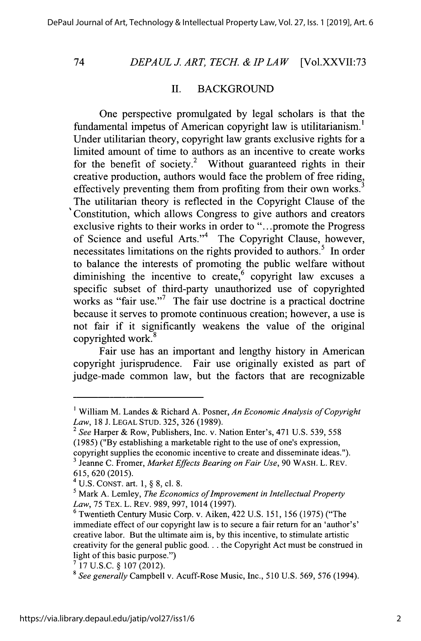74

#### *DEPAUL J. ART, TECH. & IP LAW* [Vol.XXVII:73

#### **II. BACKGROUND**

One perspective promulgated **by** legal scholars is that the fundamental impetus of American copyright law is utilitarianism.' Under utilitarian theory, copyright law grants exclusive rights for a limited amount of time to authors as an incentive to create works for the benefit of society.<sup>2</sup> Without guaranteed rights in their creative production, authors would face the problem of free riding, effectively preventing them from profiting from their own works.<sup>3</sup> The utilitarian theory is reflected in the Copyright Clause of the Constitution, which allows Congress to give authors and creators exclusive rights to their works in order to "...promote the Progress of Science and useful Arts."<sup>4</sup> The Copyright Clause, however, necessitates limitations on the rights provided to authors.<sup>5</sup> In order to balance the interests of promoting the public welfare without diminishing the incentive to create, copyright law excuses a specific subset of third-party unauthorized use of copyrighted works as "fair use."<sup>7</sup> The fair use doctrine is a practical doctrine because it serves to promote continuous creation; however, a use is not fair if it significantly weakens the value of the original copyrighted work.

Fair use has an important and lengthy history in American copyright jurisprudence. Fair use originally existed as part of judge-made common law, but the factors that are recognizable

i William M. Landes **&** Richard **A.** Posner, *An Economic Analysis of Copyright Law,* **18 J. LEGAL STUD. 325, 326 (1989).**

<sup>2</sup>*See* Harper **&** Row, Publishers, Inc. v. Nation Enter's, 471 **U.S.** *539, 558* **(1985) ("By** establishing a marketable right to the use of one's expression, copyright supplies the economic incentive to create and disseminate ideas."). **3** Jeanne **C.** Fromer, *Market Effects Bearing on Fair Use,* **90** WASH. L. REV. **615, 620 (2015).**

<sup>4</sup>**U.S. CONST.** art. **1,** *§* **8, cl. 8.**

<sup>&</sup>lt;sup>5</sup> Mark A. Lemley, *The Economics of Improvement in Intellectual Property Law,* **75** TEX. L. REV. **989, 997,** 1014 **(1997).**

**<sup>6</sup>** Twentieth Century Music Corp. v. Aiken, 422 **U.S. 151, 156 (1975)** ("The immediate effect of our copyright law is to secure a fair return for an 'author's' creative labor. But the ultimate aim is, **by** this incentive, to stimulate artistic creativity for the general public **good...** the Copyright Act must be construed in light of this basic purpose.")

**<sup>&#</sup>x27; 17 U.S.C.** *§* **107** (2012).

**<sup>8</sup>** *See generally* Campbell v. Acuff-Rose Music, Inc., **510 U.S. 569, 576** (1994).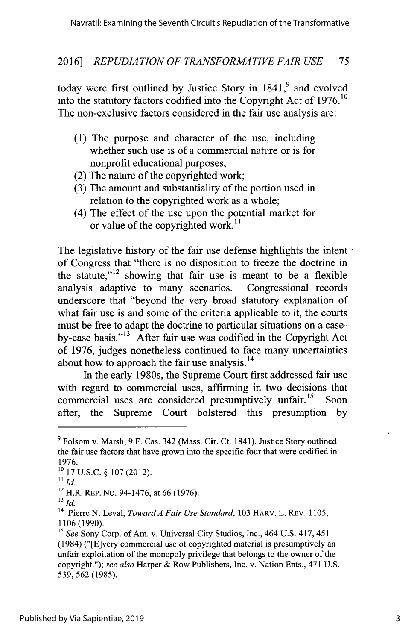today were first outlined by Justice Story in 1841,<sup>9</sup> and evolved into the statutory factors codified into the Copyright Act of **1976.10** The non-exclusive factors considered in the fair use analysis are:

- **(1)** The purpose and character of the use, including whether such use is of a commercial nature or is for nonprofit educational purposes;
- (2) The nature of the copyrighted work;
- **(3)** The amount and substantiality of the portion used in relation to the copyrighted work as a whole;
- (4) The effect of the use upon the potential market for or value of the copyrighted work.<sup>11</sup>

The legislative history of the fair use defense highlights the intent  $\tau$ of Congress that "there is no disposition to freeze the doctrine in the statute,"<sup>12</sup> showing that fair use is meant to be a flexible analysis adaptive to many scenarios. Congressional records underscore that "beyond the very broad statutory explanation of what fair use is and some of the criteria applicable to it, the courts must be free to adapt the doctrine to particular situations on a caseby-case basis."<sup> $13$ </sup> After fair use was codified in the Copyright Act of **1976,** judges nonetheless continued to face many uncertainties about how to approach the fair use analysis. $^{14}$ 

In the early 1980s, the Supreme Court first addressed fair use with regard to commercial uses, affirming in two decisions that<br>commercial uses are considered presumptively unfair <sup>15</sup>. Soon commercial uses are considered presumptively unfair.<sup>15</sup> after, the Supreme Court bolstered this presumption **by**

**<sup>9</sup>**Folsom **v.** Marsh, **9** F. Cas. 342 (Mass. Cir. Ct. 1841). Justice Story outlined the fair use factors that have grown into the specific four that were codified in **1976.**

**<sup>1</sup>o 17 U.S.C. § 107** (2012).

*<sup>11</sup> Id.*

<sup>12</sup>H.R. REP. No. 94-1476, at **66 (1976).**

*<sup>13</sup> id.*

**<sup>14</sup>**Pierre **N.** Leval, *Toward A Fair Use Standard,* **<sup>103</sup>**HARV. L. REV. *1105,* **1106 (1990).**

*<sup>15</sup>See* Sony Corp. of Am. v. Universal City Studios, Inc., 464 **U.S.** 417, 451 (1984) ("[E]very commercial use of copyrighted material is presumptively an unfair exploitation of the monopoly privilege that belongs to the owner of the copyright."); *see also* Harper **&** Row Publishers, Inc. v. Nation Ents., 471 **U.S.** *539,* **562** *(1985).*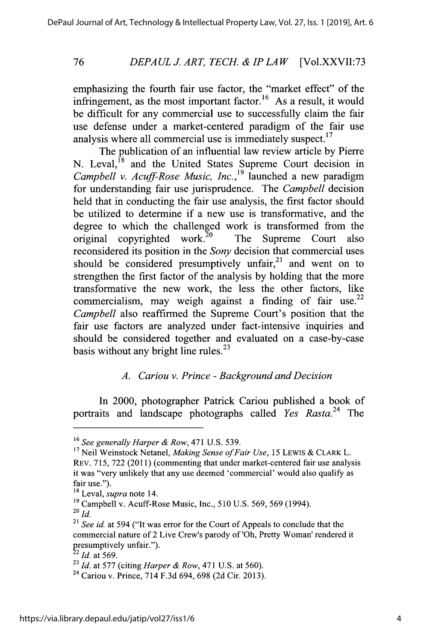### *DEPAULJ ART, TECH. & IP LAW* [Vol.XXVII:73

emphasizing the fourth fair use factor, the "market effect" of the infringement, as the most important factor.<sup>16</sup> As a result, it would be difficult for any commercial use to successfully claim the fair use defense under a market-centered paradigm of the fair use analysis where all commercial use is immediately suspect. $17$ 

The publication of an influential law review article **by** Pierre N. Leval,<sup>18</sup> and the United States Supreme Court decision in *Campbell v. Acuff-Rose Music, Inc.,19* launched a new paradigm for understanding fair use jurisprudence. The *Campbell* decision held that in conducting the fair use analysis, the first factor should be utilized to determine if a new use is transformative, and the degree to which the challenged work is transformed from the original copyrighted work.<sup>20</sup> The Supreme Court also reconsidered its position in the *Sony* decision that commercial uses should be considered presumptively unfair, $2<sup>1</sup>$  and went on to strengthen the first factor of the analysis **by** holding that the more transformative the new work, the less the other factors, like commercialism, may weigh against a finding of fair use.<sup>22</sup> *Campbell* also reaffirmed the Supreme Court's position that the fair use factors are analyzed under fact-intensive inquiries and should be considered together and evaluated on a case-by-case basis without any bright line rules. $^{23}$ 

#### *A. Cariou v. Prince* **-** *Background and Decision*

In 2000, photographer Patrick Cariou published a book of portraits and landscape photographs called *Yes Rasta.24* The

**<sup>16</sup>***See generally Harper & Row,* 471 **U.S.** *539.*

**<sup>1</sup>** Neil Weinstock Netanel, *Making Sense ofFair Use, <sup>15</sup>***LEWIS** *&* **CLARK** L. **REV. 715, 722** (2011) (commenting that under market-centered fair use analysis it was "very unlikely that any use deemed 'commercial' would also qualify as fair use.").

**<sup>18</sup>**Leval, *supra* note 14.

**<sup>19</sup>**Campbell v. Acuff-Rose Music, Inc., *510* **U.S.** *569,* **569** (1994). *<sup>20</sup>d.*

**<sup>21</sup>***See id.* at 594 ("It was error for the Court of Appeals to conclude that the commercial nature of 2 Live Crew's parody of 'Oh, Pretty Woman' rendered it presumptively unfair."). *<sup>22</sup>Id.* at *569.*

**<sup>23</sup>***Id.* at **577** (citing *Harper & Row,* **471 U.S.** at **560).**

**<sup>24</sup>**CartioU v. Prince, 714 **F.3d** 694, **698 (2d** Cir. **2013).**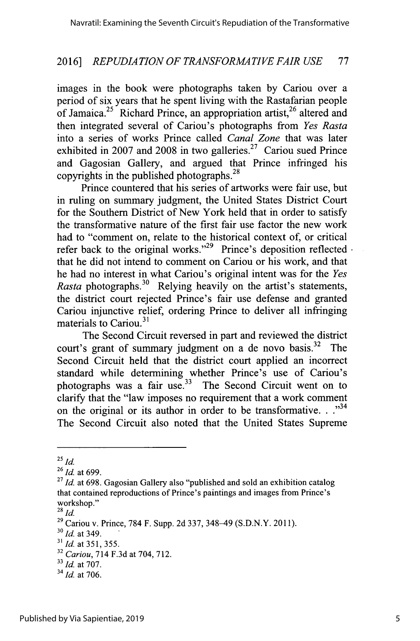images in the book were photographs taken **by** Cariou over a period of six years that he spent living with the Rastafarian people of Jamaica.<sup>25</sup> Richard Prince, an appropriation artist.<sup>26</sup> altered and then integrated several of Cariou's photographs from *Yes Rasta* into a series of works Prince called *Canal Zone* that was later exhibited in 2007 and 2008 in two galleries.<sup>27</sup> Cariou sued Prince and Gagosian Gallery, and argued that Prince infringed his copyrights in the published photographs. $28$ 

Prince countered that his series of artworks were fair use, but in ruling on summary judgment, the United States District Court for the Southern District of New York held that in order to satisfy the transformative nature of the first fair use factor the new work had to "comment on, relate to the historical context of, or critical refer back to the original works."<sup>29</sup> Prince's deposition reflected. that he did not intend to comment on Cariou or his work, and that he had no interest in what Cariou's original intent was for the *Yes Rasta* photographs.<sup>30</sup> Relying heavily on the artist's statements, the district court rejected Prince's fair use defense and granted Cariou injunctive relief, ordering Prince to deliver all infringing materials to Cariou.<sup>31</sup>

The Second Circuit reversed in part and reviewed the district court's grant of summary judgment on a de novo basis.<sup>32</sup> The Second Circuit held that the district court applied an incorrect standard while determining whether Prince's use of Cariou's photographs was a fair use. $33$  The Second Circuit went on to clarify that the "law imposes no requirement that a work comment on the original or its author in order to be transformative. . .<sup>34</sup> The Second Circuit also noted that the United States Supreme

**<sup>25</sup>***id.*

*<sup>26</sup>Id. at 699.*

**<sup>27</sup>***Id. at* **698.** Gagosian Gallery also "published and sold an exhibition catalog that contained reproductions of Prince's paintings and images from Prince's workshop."

**<sup>28</sup>***Id.*

**<sup>29</sup>**Cariou v. Prince, **784** F. Supp. **2d 337,** 348-49 **(S.D.N.Y. 2011).**

*<sup>30</sup> <sup>1</sup>Id.* at 349.

**<sup>3&#</sup>x27;** *Id.* at **351,** *355.*

**<sup>32</sup>***Cariou,* 714 **F.3d** at 704, **712.**

*<sup>&</sup>quot; Id.* at **707.**

*<sup>34</sup> Id.* at **706.**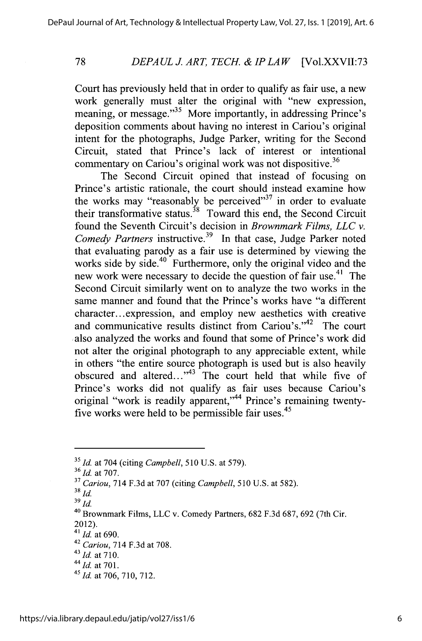#### *DEPAULJ. ART, TECH. & IPLAW* [Vol.XXVII:73

Court has previously held that in order to qualify as fair use, a new work generally must alter the original with "new expression, meaning, or message."<sup>35</sup> More importantly, in addressing Prince's deposition comments about having no interest in Cariou's original intent for the photographs, Judge Parker, writing for the Second Circuit, stated that Prince's lack of interest or intentional commentary on Cariou's original work was not dispositive.36

The Second Circuit opined that instead of focusing on Prince's artistic rationale, the court should instead examine how the works may "reasonably be perceived" in order to evaluate their transformative status.<sup>38</sup> Toward this end, the Second Circuit found the Seventh Circuit's decision in *Brownmark Films, LLC v. Comedy Partners* instructive.<sup>39</sup> In that case, Judge Parker noted that evaluating parody as a fair use is determined **by** viewing the works side by side.<sup>40</sup> Furthermore, only the original video and the new work were necessary to decide the question of fair use.<sup>41</sup> The Second Circuit similarly went on to analyze the two works in the same manner and found that the Prince's works have "a different character...expression, and employ new aesthetics with creative and communicative results distinct from Cariou's."<sup>42</sup> The court .also analyzed the works and found that some of Prince's work did not alter the original photograph to any appreciable extent, while in others "the entire source photograph is used but is also heavily obscured and altered... $1^{43}$  The court held that while five of Prince's works did not qualify as fair uses because Cariou's original "work is readily apparent,"<sup>44</sup> Prince's remaining twentyfive works were held to be permissible fair uses.<sup>45</sup>

**<sup>35</sup>***Id.* at 704 (citing *Campbell, 510* **U.S.** at *579). <sup>36</sup>Id.* at **707.**

**<sup>37</sup>***Cariou,* 714 **F.3d** at **707** (citing *Campbell, 510* **U.S.** at **582).**

*<sup>38</sup>id. <sup>39</sup>id.*

**<sup>40</sup>**Brownmark Films, **LLC** v. Comedy Partners, **682 F.3d 687, 692** (7th Cir.

<sup>2012).</sup> *<sup>4</sup> <sup>1</sup>Id.* at **690.**

**<sup>42</sup>***Cariou,* 714 **F.3d** at **708.**

<sup>43</sup>*Id.* at **710.**

*<sup>44</sup>Id.* at **701.**

*<sup>45</sup> Id.* at **706, 710, 712.**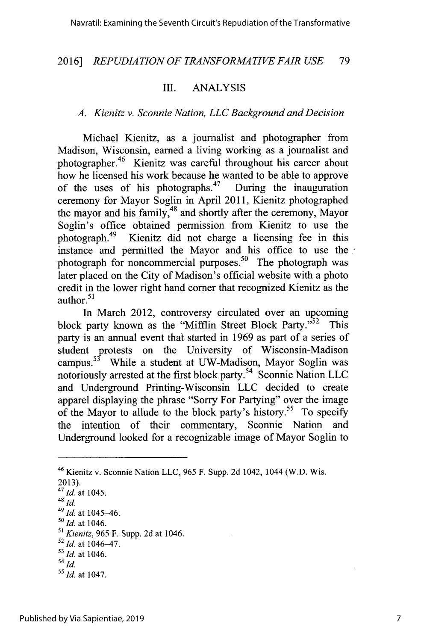#### III. **ANALYSIS**

#### *A. Kienitz v. Sconnie Nation, LLC Background and Decision*

Michael Kienitz, as a journalist and photographer from Madison, Wisconsin, earned a living working as a journalist and photographer.<sup>46</sup> Kienitz was careful throughout his career about how he licensed his work because he wanted to be able to approve<br>of the uses of his photographs.<sup>47</sup> During the inauguration of the uses of his photographs. $47$ ceremony for Mayor Soglin in April **2011,** Kienitz photographed the mayor and his family,<sup>48</sup> and shortly after the ceremony, Mayor Soglin's office obtained permission from Kienitz to use the photograph.<sup>49</sup> Kienitz did not charge a licensing fee in this instance and permitted the Mayor and his office to use the photograph for noncommercial purposes.<sup>50</sup> The photograph was later placed on the City of Madison's official website with a photo credit in the lower right hand corner that recognized Kienitz as the author. $51$ 

In March 2012, controversy circulated over an upcoming block party known as the "Mifflin Street Block Party."<sup>52</sup> This party is an annual event that started in **1969** as part of a series of student protests on the University of Wisconsin-Madison campus.<sup>53</sup> While a student at UW-Madison, Mayor Soglin was notoriously arrested at the first block party.<sup>54</sup> Sconnie Nation LLC and Underground Printing-Wisconsin **LLC** decided to create apparel displaying the phrase "Sorry For Partying" over the image of the Mayor to allude to the block party's history.<sup>55</sup> To specify the intention of their commentary, Sconnie Nation and Underground looked for a recognizable image of Mayor Soglin to

**2013).**

*4 8 id.*

<sup>49</sup>*Id.* at 1045-46.

- *s <sup>0</sup>Id.* at 1046.
- **s'** *Kienitz, 965* F. Supp. **2d** at 1046.
- **<sup>52</sup>***Id.* at 1046-47.
- <sup>53</sup> *Id.* at 1046.
- *<sup>54</sup>id.*

<sup>46</sup>Kienitz v. Sconnie Nation **LLC,** *965* F. Supp. **2d** 1042, 1044 (W.D. Wis.

*<sup>4</sup> 7 1 Id.* at 1045.

s *Id.* at 1047.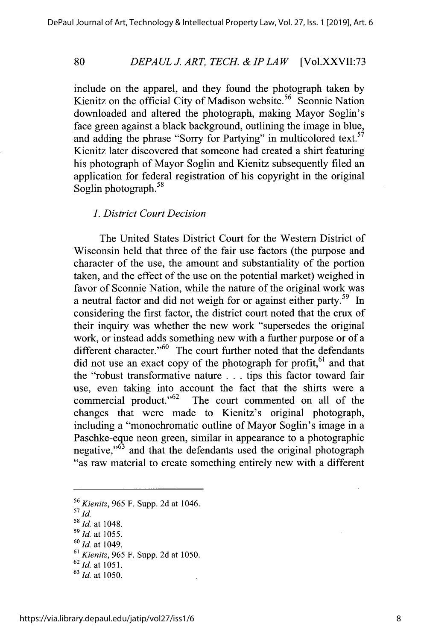#### *DEPAUL J. ART, TECH. & IP LAW* [Vol.XXVII:73

include on the apparel, and they found the photograph taken **by** Kienitz on the official City of Madison website.<sup>56</sup> Sconnie Nation downloaded and altered the photograph, making Mayor Soglin's face green against a black background, outlining the image in blue, and adding the phrase "Sorry for Partying" in multicolored text.<sup>57</sup> Kienitz later discovered that someone had created a shirt featuring his photograph of Mayor Soglin and Kienitz subsequently filed an application for federal registration of his copyright in the original Soglin photograph.<sup>58</sup>

#### *1. District Court Decision*

The United States District Court for the Western District of Wisconsin held that three of the fair use factors (the purpose and character of the use, the amount and substantiality of the portion taken, and the effect of the use on the potential market) weighed in favor of Sconnie Nation, while the nature of the original work was a neutral factor and did not weigh for or against either party.<sup>59</sup> In considering the first factor, the district court noted that the crux of their inquiry was whether the new work "supersedes the original work, or instead adds something new with a further purpose or of a different character." $60$  The court further noted that the defendants did not use an exact copy of the photograph for profit,  $61$  and that the "robust transformative nature **. . .** tips this factor toward fair use, even taking into account the fact that the shirts were a commercial product." $62$  The court commented on all of the The court commented on all of the changes that were made to Kienitz's original photograph, including a "monochromatic outline of Mayor Soglin's image in a Paschke-eque neon green, similar in appearance to a photographic negative,<sup>"63</sup> and that the defendants used the original photograph "as raw material to create something entirely new with a different

*<sup>56</sup>Kienitz, 965* F. Supp. **2d** at 1046.

*<sup>57</sup> id.*

<sup>&</sup>lt;sup>58</sup> *Id.* at 1048

*<sup>59</sup>Id.* at *1055.*

*<sup>60</sup>Id.* at 1049.

**<sup>61</sup>***Kienitz, 965* F. Supp. **2d** at **1050.** *<sup>6</sup><sup>2</sup>Id.* at **1051.**

*<sup>63</sup> 1 d.* at **1050.**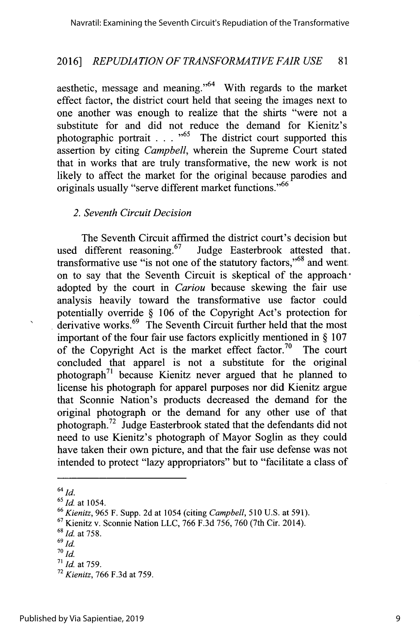aesthetic, message and meaning."64 With regards to the market effect factor, the district court held that seeing the images next to one another was enough to realize that the shirts "were not a substitute for and did not reduce the demand for Kienitz's photographic portrait **. . . "65** The district court supported this assertion **by** citing *Campbell,* wherein the Supreme Court stated that in works that are truly transformative, the new work is not likely to affect the market for the original because parodies and originals usually "serve different market functions."<sup>66</sup>

#### *2. Seventh Circuit Decision*

The Seventh Circuit affirmed the district court's decision but used different reasoning.  $67$  Judge Easterbrook attested that. transformative use "is not one of the statutory factors," $68$  and went. on to say that the Seventh Circuit is skeptical of the approach. adopted **by** the court in *Cariou* because skewing the fair use analysis heavily toward the transformative use factor could potentially override **§ 106** of the Copyright Act's protection for derivative works. $^{69}$  The Seventh Circuit further held that the most important of the four fair use factors explicitly mentioned in **§ 107** of the Copyright Act is the market effect factor.<sup>70</sup> The court concluded that apparel is not a substitute for the original photograph<sup>'1</sup> because Kienitz never argued that he planned to license his photograph for apparel purposes nor did Kienitz argue that Sconnie Nation's products decreased the demand for the original photograph or the demand for any other use of that photograph.<sup>72</sup> Judge Easterbrook stated that the defendants did not need to use Kienitz's photograph of Mayor Soglin as they could have taken their own picture, and that the fair use defense was not intended to protect "lazy appropriators" but to "facilitate a class of

64 *id.*

 $\ddot{\phantom{0}}$ 

*<sup>6</sup> <sup>1</sup>Id. at* 1054.

*<sup>6 6</sup>Kienitz, 965* F. Supp. **2d** at 1054 (citing *Campbell,* **510 U.S.** at **591).**

**<sup>67</sup>**Kienitz v. Sconnie Nation **LLC, 766 F.3d 756, 760** (7th Cir. 2014). *<sup>6</sup>*

*<sup>1</sup>Id.* at **758.**

**<sup>69</sup>** *id.*

 $70$  *Id.* 

**<sup>71</sup>***Id.* at **759.**

<sup>72</sup>*Kienitz, 766* **F.3d** at **759.**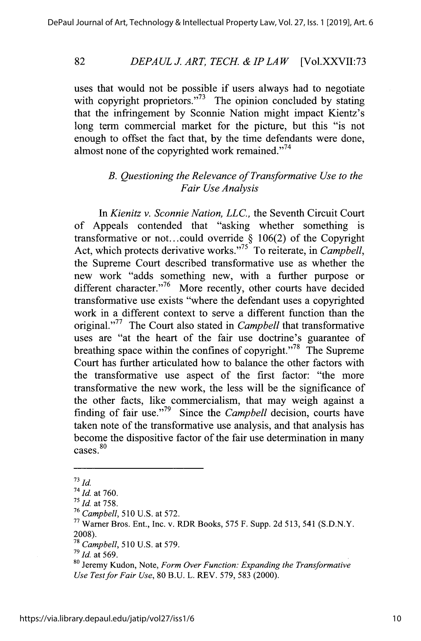#### *DEPAUL1 ART, TECH. & IP LAW* [Vol.XXVII:73 **82**

uses that would not be possible if users always had to negotiate with copyright proprietors."<sup> $73$ </sup> The opinion concluded by stating that the infringement **by** Sconnie Nation might impact Kientz's long term commercial market for the picture, but this "is not enough to offset the fact that, **by** the time defendants were done, almost none of the copyrighted work remained."<sup>74</sup>

# *B. Questioning the Relevance of Transformative Use to the Fair Use Analysis*

*In Kienitz v. Sconnie Nation, LLC.,* the Seventh Circuit Court of Appeals contended that "asking whether something is transformative or **not..** .could override **§ 106(2)** of the Copyright Act, which protects derivative works."<sup>25</sup> To reiterate, in *Campbell*, the Supreme Court described transformative use as whether the new work "adds something new, with a further purpose or different character."<sup>76</sup> More recently, other courts have decided transformative use exists "where the defendant uses a copyrighted work in a different context to serve a different function than the original."<sup>77</sup> The Court also stated in *Campbell* that transformative uses are "at the heart of the fair use doctrine's guarantee of breathing space within the confines of copyright."<sup>78</sup> The Supreme Court has further articulated how to balance the other factors with the transformative use aspect of the first factor: "the more transformative the new work, the less will be the significance of the other facts, like commercialism, that may weigh against a finding of fair use."<sup>79</sup> Since the *Campbell* decision, courts have taken note of the transformative use analysis, and that analysis has become the dispositive factor of the fair use determination in many cases.<sup>80</sup>

*<sup>79</sup> Id.* at 569.

 $^{73}$  *Id.* 

<sup>74</sup>*Id. at* **760.**

*<sup>7</sup> 1d. at* **758.**

**<sup>76</sup>***Campbell,* **510 U.S.** at *572.*

n Warner Bros. Ent., Inc. v. RDR Books, **575** F. Supp. **2d** *513,* 541 **(S.D.N.Y. 2008).**

*Campbell, 510* **U.S.** at **579.**

**<sup>80</sup>**Jeremy Kudon, Note, *Form Over Function: Expanding the Transformative Use Test for Fair Use,* **80 B.U.** L. REV. **579, 583** (2000).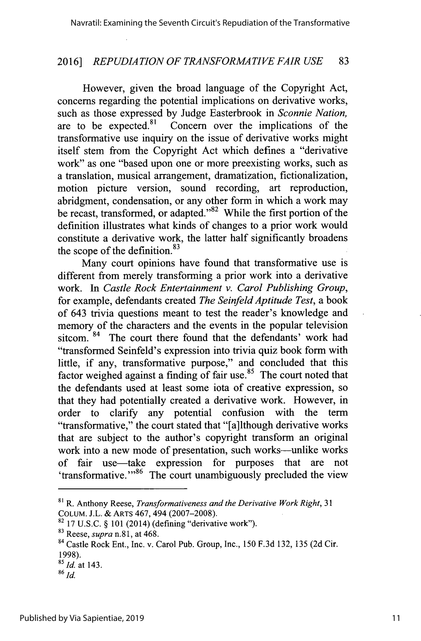However, given the broad language of the Copyright Act, concerns regarding the potential implications on derivative works, such as those expressed **by** Judge Easterbrook in *Sconnie Nation,* are to be expected.<sup>81</sup> Concern over the implications of the transformative use inquiry on the issue of derivative works might itself stem from the Copyright Act which defines a "derivative work" as one "based upon one or more preexisting works, such as a translation, musical arrangement, dramatization, fictionalization, motion picture version, sound recording, art reproduction, abridgment, condensation, or any other form in which a work may be recast, transformed, or adapted." $82$  While the first portion of the definition illustrates what kinds of changes to a prior work would constitute a derivative work, the latter half significantly broadens the scope of the definition. $83$ 

Many court opinions have found that transformative use is different from merely transforming a prior work into a derivative work. In *Castle Rock Entertainment v. Carol Publishing Group,* for example, defendants created *The Seinfeld Aptitude Test,* a book of 643 trivia questions meant to test the reader's knowledge and memory of the characters and the events in the popular television sitcom. <sup>84</sup> The court there found that the defendants' work had "transformed Seinfeld's expression into trivia quiz book form with little, if any, transformative purpose," and concluded that this factor weighed against a finding of fair use. $85$  The court noted that the defendants used at least some iota of creative expression, so that they had potentially created a derivative work. However, in order to clarify any potential confusion with the term "transformative," the court stated that "[a]lthough derivative works that are subject to the author's copyright transform an original work into a new mode of presentation, such works-unlike works of fair use-take expression for purposes that are not 'transformative."<sup>86</sup> The court unambiguously precluded the view

**<sup>8</sup>** R. Anthony Reese, *Transformativeness and the Derivative Work Right, 31* **COLUM. J.L. &** ARTS 467, 494 **(2007-2008).**

**<sup>82</sup>17 U.S.C. § 101** (2014) (defining "derivative work").

**<sup>83</sup>**Reese, *supra* **n.81,** at 468.

**<sup>84</sup>**Castle Rock Ent., Inc. v. Carol Pub. Group, Inc., **150 F.3d 132, 135 (2d** Cir. **1998).**

*<sup>&</sup>quot;Id.* at 143.

*<sup>86</sup> id.*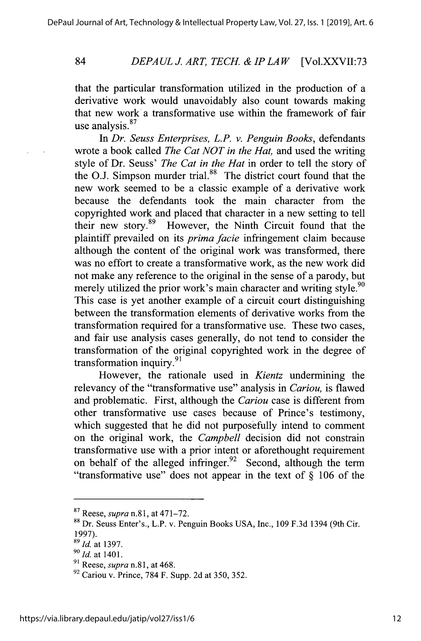#### *DEPAUL J. ART, TECH. & IP LAW* [Vol.XXVII:73

that the particular transformation utilized in the production of a derivative work would unavoidably also count towards making that new work a transformative use within the framework of fair use analysis.<sup>87</sup>

In *Dr. Seuss Enterprises, L.P. v. Penguin Books,* defendants wrote a book called *The Cat NOT in the Hat,* and used the writing style of Dr. Seuss' *The Cat in the Hat* in order to tell the story of the O.J. Simpson murder trial.<sup>88</sup> The district court found that the new work seemed to be a classic example of a derivative work because the defendants took the main character from the copyrighted work and placed that character in a new setting to tell their new story.89 However, the Ninth Circuit found that the plaintiff prevailed on its *prima facie* infringement claim because although the content of the original work was transformed, there was no effort to create a transformative work, as the new work did not make any reference to the original in the sense of a parody, but merely utilized the prior work's main character and writing style.<sup>90</sup> This case is yet another example of a circuit court distinguishing between the transformation elements of derivative works from the transformation required for a transformative use. These two cases, and fair use analysis cases generally, do not tend to consider the transformation of the original copyrighted work in the degree of transformation inquiry.<sup>91</sup>

However, the rationale used in *Kientz* undermining the relevancy of the "transformative use" analysis in *Cariou,* is flawed and problematic. First, although the *Cariou* case is different from other transformative use cases because of Prince's testimony, which suggested that he did not purposefully intend to comment on the original work, the *Campbell* decision did not constrain transformative use with a prior intent or aforethought requirement on behalf of the alleged infringer. $92$  Second, although the term "transformative use" does not appear in the text of **§ 106** of the

**<sup>87</sup>**Reese, *supra* n.81, at **471-72.**

Dr. Seuss Enter's., L.P. v. Penguin Books **USA,** Inc., **109 F.3d** 1394 (9th Cir. **1997).**

*<sup>9</sup> Id.* at **1397.**

**<sup>90</sup> -Id.** at **1401.**

**<sup>91</sup>***Reese, supra* n.81, at 468.

**<sup>92</sup>**Cariou v. Prince, **784** F. Supp. **2d** at **350, 352.**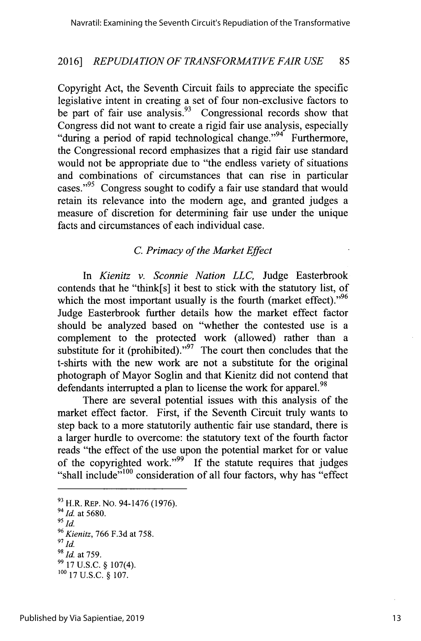Copyright Act, the Seventh Circuit fails to appreciate the specific legislative intent in creating a set of four non-exclusive factors to be part of fair use analysis.  $93\degree$  Congressional records show that Congress did not want to create a rigid fair use analysis, especially "during a period of rapid technological change."<sup>94</sup> Furthermore, the Congressional record emphasizes that a rigid fair use standard would not be appropriate due to "the endless variety of situations and combinations of circumstances that can rise in particular cases."<sup>95</sup> Congress sought to codify a fair use standard that would retain its relevance into the modem age, and granted judges a measure of discretion for determining fair use under the unique facts and circumstances of each individual case.

# *C. Primacy of the Market Effect*

*In Kienitz v. Sconnie Nation LLC,* Judge Easterbrook contends that he "think[s] it best to stick with the statutory list, of which the most important usually is the fourth (market effect). $^{96}$ Judge Easterbrook further details how the market effect factor should be analyzed based on "whether the contested use is a complement to the protected work (allowed) rather than a substitute for it (prohibited)."<sup>97</sup> The court then concludes that the t-shirts with the new work are not a substitute for the original photograph of Mayor Soglin and that Kienitz did not contend that defendants interrupted a plan to license the work for apparel.<sup>98</sup>

There are several potential issues with this analysis of the market effect factor. First, if the Seventh Circuit truly wants to step back to a more statutorily authentic fair use standard, there is a larger hurdle to overcome: the statutory text of the fourth factor reads "the effect of the use upon the potential market for or value of the copyrighted work."<sup>99</sup> If the statute requires that judges "shall include" $100$  consideration of all four factors, why has "effect"

**<sup>9</sup>**H.R. REP. **No.** 94-1476 **(1976).**

*<sup>94</sup>Id.* at **5680.**

*<sup>95</sup>id.*

*<sup>96</sup>Kienitz,* **766 F.3d** at **758.**

*<sup>97</sup> Id.*

*<sup>9</sup> Id.* at **759.**

**<sup>99 17</sup> U.S.C. §** 107(4). **<sup>100</sup>17 U.S.C. § 107.**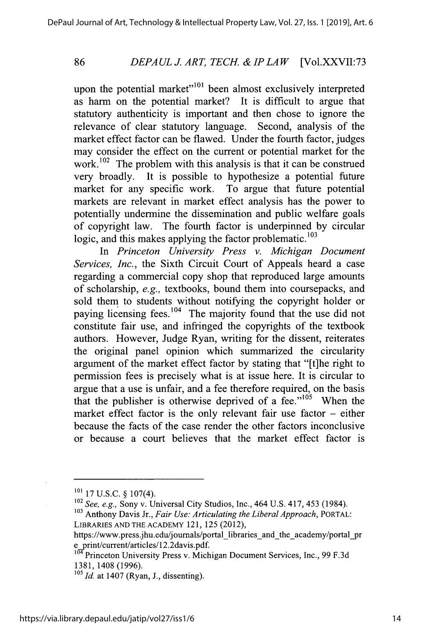#### *DEPAUL J. ART, TECH. & IPLAW* [Vol.XXVII:73

upon the potential market" $1001$  been almost exclusively interpreted as harm on the potential market? It is difficult to argue that statutory authenticity is important and then chose to ignore the relevance of clear statutory language. Second, analysis of the market effect factor can be flawed. Under the fourth factor, judges may consider the effect on the current or potential market for the work.<sup>102</sup> The problem with this analysis is that it can be construed very broadly. It is possible to hypothesize a potential future market for any specific work. To argue that future potential markets are relevant in market effect analysis has the power to potentially undermine the dissemination and public welfare goals of copyright law. The fourth factor is underpinned **by** circular logic, and this makes applying the factor problematic. $^{103}$ 

*In Princeton University Press v. Michigan Document Services, Inc.,* the Sixth Circuit Court of Appeals heard a case regarding a commercial copy shop that reproduced large amounts of scholarship, *e.g.,* textbooks, bound them into coursepacks, and sold them to students without notifying the copyright holder or paying licensing fees.<sup>104</sup> The majority found that the use did not constitute fair use, and infringed the copyrights of the textbook authors. However, Judge Ryan, writing for the dissent, reiterates the original panel opinion which summarized the circularity argument of the market effect factor **by** stating that "[t]he right to permission fees is precisely what is at issue here. It is circular to argue that a use is unfair, and a fee therefore required, on the basis that the publisher is otherwise deprived of a fee." $105$  When the market effect factor is the only relevant fair use factor **-** either because the facts of the case render the other factors inconclusive or because a court believes that the market effect factor is

**<sup>101</sup>17 U.S.C.** *§* 107(4).

**<sup>102</sup>***See, e.g.,* Sony v. Universal City Studios, Inc., 464 **U.S.** 417, *453* (1984).

**<sup>103</sup>**Anthony Davis Jr., *Fair Use: Articulating the Liberal Approach, PORTAL:* **LIBRARIES AND THE ACADEMY** 121, *125* (2012),

https://www.press.jhu.edu/journals/portal-libraries-and-the-academy/portal-pr e\_print/current/articles/12.2davis.pdf

<sup>&</sup>lt;sup>104</sup> Princeton University Press v. Michigan Document Services, Inc., 99 F.3d **1381,** 1408 **(1996).**

**<sup>5</sup>Id.** at 1407 (Ryan, **J.,** dissenting).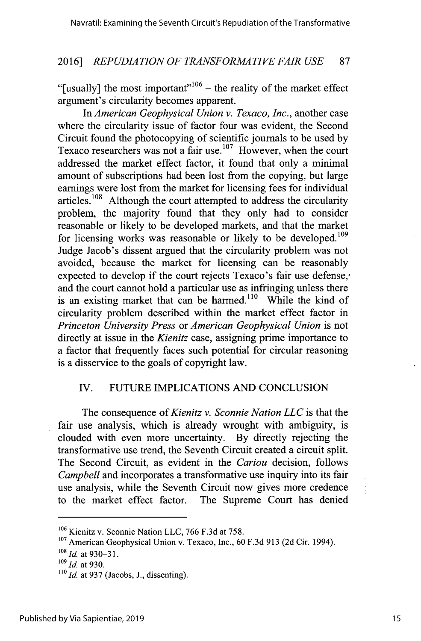"[usually] the most important"<sup>106</sup> – the reality of the market effect argument's circularity becomes apparent.

*In American Geophysical Union v. Texaco, Inc.,* another case where the circularity issue of factor four was evident, the Second Circuit found the photocopying of scientific journals to be used **by** Texaco researchers was not a fair use.<sup>107</sup> However, when the court addressed the market effect factor, it found that only a minimal amount of subscriptions had been lost from the copying, but large earnings were lost from the market for licensing fees for individual  $arteles.<sup>108</sup>$  Although the court attempted to address the circularity problem, the majority found that they only had to consider reasonable or likely to be developed markets, and that the market for licensing works was reasonable or likely to be developed.<sup>109</sup> Judge Jacob's dissent argued that the circularity problem was not avoided, because the market for licensing can be reasonably expected to develop if the court rejects Texaco's fair use defense,' and the court cannot hold a particular use as infringing unless there is an existing market that can be harmed.<sup>110</sup> While the kind of circularity problem described within the market effect factor in *Princeton University Press or American Geophysical Union* is not directly at issue in the *Kienitz* case, assigning prime importance to a factor that frequently faces such potential for circular reasoning is a disservice to the goals of copyright law.

# IV. **FUTURE IMPLICATIONS AND CONCLUSION**

The consequence of *Kienitz v. Sconnie Nation LLC* is that the fair use analysis, which is already wrought with ambiguity, is clouded with even more uncertainty. **By** directly rejecting the transformative use trend, the Seventh Circuit created a circuit split. The Second Circuit, as evident in the *Cariou* decision, follows *Campbell* and incorporates a transformative use inquiry into its fair use analysis, while the Seventh Circuit now gives more credence to the market effect factor. The Supreme Court has denied

**<sup>106</sup>**Kienitz v. Sconnie Nation **LLC, 766 F.3d** at *758.*

**<sup>107</sup>**American Geophysical Union v. Texaco, Inc., **60 F.3d 913 (2d** Cir. 1994).

*<sup>&#</sup>x27;s Id* at **930-31.**

*<sup>09</sup>Id* at **930.**

 $\frac{110}{10}$  *Id.* at 937 (Jacobs, J., dissenting).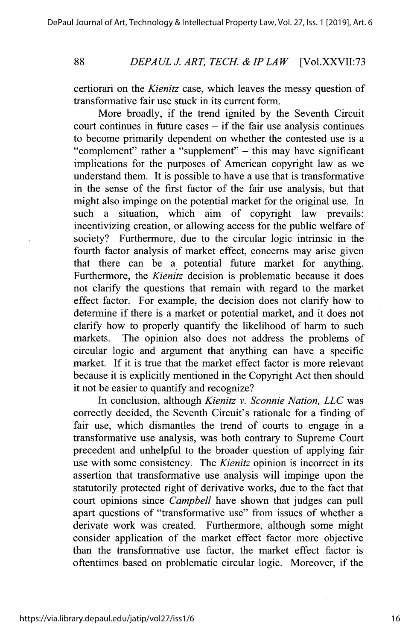**88**

### *DEPAULJ. ART, TECH. & IP LAW* [Vol.XXVII:73

certiorari on the *Kienitz* case, which leaves the messy question of transformative fair use stuck in its current form.

More broadly, if the trend ignited **by** the Seventh Circuit court continues in future cases **-** if the fair use analysis continues to become primarily dependent on whether the contested use is a "complement" rather a "supplement" **-** this may have significant implications for the purposes of American copyright law as we understand them. It is possible to have a use that is transformative in the sense of the first factor of the fair use analysis, but that might also impinge on the potential market for the original use. In such a situation, which aim of copyright law prevails: incentivizing creation, or allowing access for the public welfare of society? Furthermore, due to the circular logic intrinsic in the fourth factor analysis of market effect, concerns may arise given that there can be a potential future market for anything. Furthermore, the *Kienitz* decision is problematic because it does not clarify the questions that remain with regard to the market effect factor. For example, the decision does not clarify how to determine if there is a market or potential market, and it does not clarify how to properly quantify the likelihood of harm to such markets. The opinion also does not address the problems of circular logic and argument that anything can have a specific market. If it is true that the market effect factor is more relevant because it is explicitly mentioned in the Copyright Act then should it not be easier to quantify and recognize?

In conclusion, although *Kienitz v. Sconnie Nation, LLC* was correctly decided, the Seventh Circuit's rationale for a finding of fair use, which dismantles the trend of courts to engage in a transformative use analysis, was both contrary to Supreme Court precedent and unhelpful to the broader question of applying fair use with some consistency. The *Kienitz* opinion is incorrect in its assertion that transformative use analysis will impinge upon the statutorily protected right of derivative works, due to the fact that court opinions since *Campbell* have shown that judges can pull apart questions of "transformative use" from issues of whether a derivate work was created. Furthermore, although some might consider application of the market effect factor more objective than the transformative use factor, the market effect factor is oftentimes based on problematic circular logic. Moreover, if the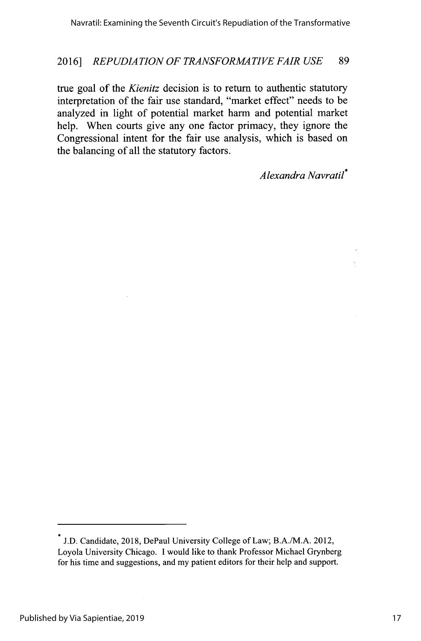true goal of the *Kienitz* decision is to return to authentic statutory interpretation of the fair use standard, "market effect" needs to be analyzed in light of potential market harm and potential market help. When courts give any one factor primacy, they ignore the Congressional intent for the fair use analysis, which is based on the balancing of all the statutory factors.

*Alexandra Navratil\**

**J.D.** Candidate, **2018,** DePaul University College of Law; B.A./M.A. 2012, Loyola University Chicago. **I** would like to thank Professor Michael Grynberg for his time and suggestions, and my patient editors for their help and support.